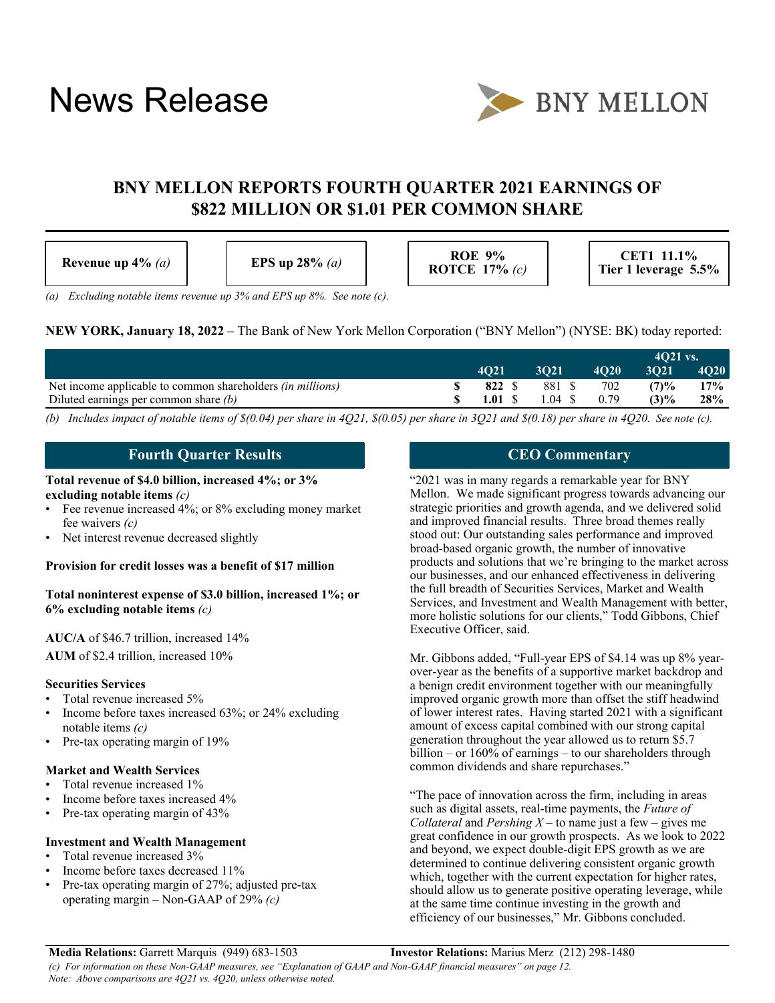# News Release



# **BNY MELLON REPORTS FOURTH QUARTER 2021 EARNINGS OF \$822 MILLION OR \$1.01 PER COMMON SHARE**

| Revenue up $4\%$ (a) | EPS up $28\%$ (a) | <b>ROE 9%</b><br>ROTCE $17\%$ (c) | CET1 11.1%<br>Tier 1 leverage 5.5% |
|----------------------|-------------------|-----------------------------------|------------------------------------|
|----------------------|-------------------|-----------------------------------|------------------------------------|

*(a) Excluding notable items revenue up 3% and EPS up 8%. See note (c).*

| <b>NEW YORK, January 18, 2022</b> – The Bank of New York Mellon Corporation ("BNY Mellon") (NYSE: BK) today reported: |
|-----------------------------------------------------------------------------------------------------------------------|
|-----------------------------------------------------------------------------------------------------------------------|

|                                                                   |                  |                    |             | $4021$ vs. |      |
|-------------------------------------------------------------------|------------------|--------------------|-------------|------------|------|
|                                                                   | 4021             | 3021               | <b>4020</b> | 3021       | 4O20 |
| Net income applicable to common shareholders <i>(in millions)</i> | 822 S            | 881 \$             | 702         | (7)%       | 17%  |
| Diluted earnings per common share $(b)$                           | $1.01 \text{ S}$ | $1.04 \quad $0.79$ |             | (3)%       | 28%  |

*(b) Includes impact of notable items of \$(0.04) per share in 4Q21, \$(0.05) per share in 3Q21 and \$(0.18) per share in 4Q20. See note (c).*

#### **Fourth Quarter Results**

#### **Total revenue of \$4.0 billion, increased 4%; or 3% excluding notable items** *(c)*

- Fee revenue increased 4%; or 8% excluding money market fee waivers *(c)*
- Net interest revenue decreased slightly

#### **Provision for credit losses was a benefit of \$17 million**

**Total noninterest expense of \$3.0 billion, increased 1%; or 6% excluding notable items** *(c)*

#### **AUC/A** of \$46.7 trillion, increased 14% **AUM** of \$2.4 trillion, increased 10%

#### **Securities Services**

- Total revenue increased 5%
- Income before taxes increased 63%; or 24% excluding notable items *(c)*
- Pre-tax operating margin of 19%

#### **Market and Wealth Services**

- Total revenue increased 1%
- Income before taxes increased 4%
- Pre-tax operating margin of 43%

#### **Investment and Wealth Management**

- Total revenue increased 3%
- Income before taxes decreased 11%
- Pre-tax operating margin of 27%; adjusted pre-tax operating margin – Non-GAAP of 29% *(c)*

#### **CEO Commentary**

"2021 was in many regards a remarkable year for BNY Mellon. We made significant progress towards advancing our strategic priorities and growth agenda, and we delivered solid and improved financial results. Three broad themes really stood out: Our outstanding sales performance and improved broad-based organic growth, the number of innovative products and solutions that we're bringing to the market across our businesses, and our enhanced effectiveness in delivering the full breadth of Securities Services, Market and Wealth Services, and Investment and Wealth Management with better, more holistic solutions for our clients," Todd Gibbons, Chief Executive Officer, said.

Mr. Gibbons added, "Full-year EPS of \$4.14 was up 8% yearover-year as the benefits of a supportive market backdrop and a benign credit environment together with our meaningfully improved organic growth more than offset the stiff headwind of lower interest rates. Having started 2021 with a significant amount of excess capital combined with our strong capital generation throughout the year allowed us to return \$5.7 billion – or  $160\%$  of earnings – to our shareholders through common dividends and share repurchases."

"The pace of innovation across the firm, including in areas such as digital assets, real-time payments, the *Future of Collateral* and *Pershing X* – to name just a few – gives me great confidence in our growth prospects. As we look to 2022 and beyond, we expect double-digit EPS growth as we are determined to continue delivering consistent organic growth which, together with the current expectation for higher rates, should allow us to generate positive operating leverage, while at the same time continue investing in the growth and efficiency of our businesses," Mr. Gibbons concluded.

**Media Relations:** Garrett Marquis (949) 683-1503 **Investor Relations:** Marius Merz (212) 298-1480 *(c) For information on these Non-GAAP measures, see "Explanation of GAAP and Non-GAAP financial measures" on page [12.](#page-11-0) Note: Above comparisons are 4Q21 vs. 4Q20, unless otherwise noted.*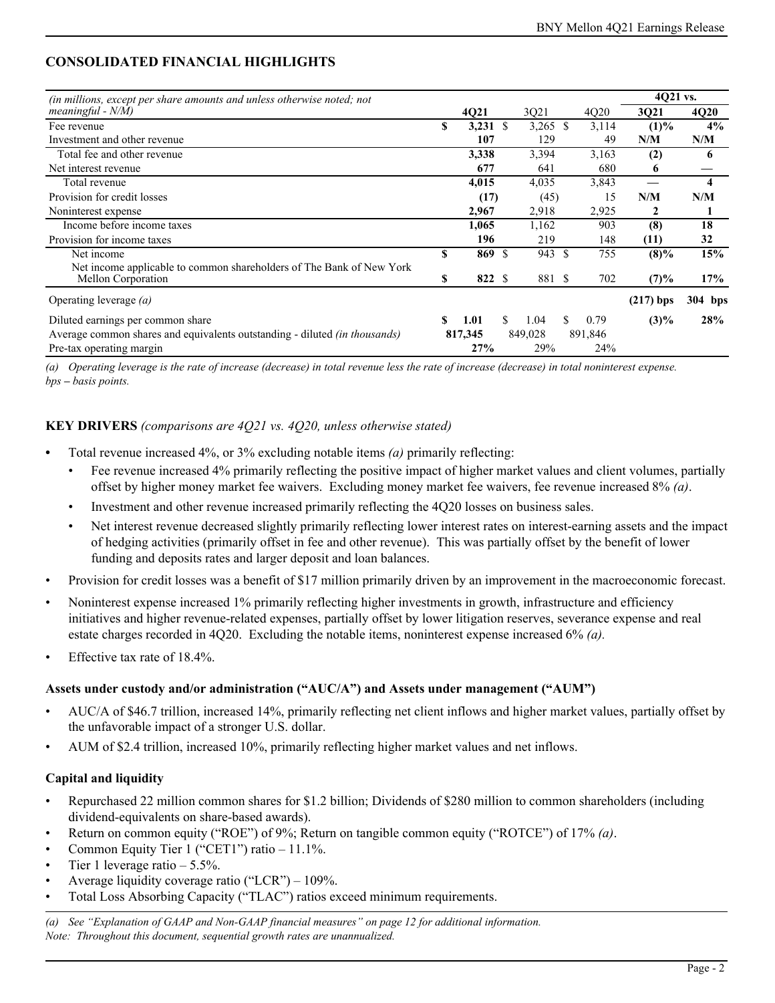# **CONSOLIDATED FINANCIAL HIGHLIGHTS**

| (in millions, except per share amounts and unless otherwise noted; not            |    |         |     |            |    |         | 4Q21 vs.    |             |
|-----------------------------------------------------------------------------------|----|---------|-----|------------|----|---------|-------------|-------------|
| meaningful - $N/M$ )                                                              |    | 4Q21    |     | 3Q21       |    | 4020    | 3Q21        | <b>4Q20</b> |
| Fee revenue                                                                       | \$ | 3,231   | -S  | $3,265$ \$ |    | 3,114   | $(1)\%$     | 4%          |
| Investment and other revenue                                                      |    | 107     |     | 129        |    | 49      | N/M         | N/M         |
| Total fee and other revenue                                                       |    | 3,338   |     | 3,394      |    | 3,163   | (2)         | 6           |
| Net interest revenue                                                              |    | 677     |     | 641        |    | 680     | 6           |             |
| Total revenue                                                                     |    | 4,015   |     | 4,035      |    | 3,843   |             | 4           |
| Provision for credit losses                                                       |    | (17)    |     | (45)       |    | 15      | N/M         | N/M         |
| Noninterest expense                                                               |    | 2,967   |     | 2,918      |    | 2,925   | 2           |             |
| Income before income taxes                                                        |    | 1,065   |     | 1,162      |    | 903     | (8)         | 18          |
| Provision for income taxes                                                        |    | 196     |     | 219        |    | 148     | (11)        | 32          |
| Net income                                                                        | \$ | 869     | \$. | 943        | -S | 755     | $(8)\%$     | 15%         |
| Net income applicable to common shareholders of The Bank of New York              |    |         |     |            |    |         |             |             |
| Mellon Corporation                                                                | S  | 822 \$  |     | 881 \$     |    | 702     | (7)%        | 17%         |
| Operating leverage $(a)$                                                          |    |         |     |            |    |         | $(217)$ bps | 304 bps     |
| Diluted earnings per common share                                                 | \$ | 1.01    | \$. | 1.04       | S. | 0.79    | $(3)\%$     | 28%         |
| Average common shares and equivalents outstanding - diluted <i>(in thousands)</i> |    | 817,345 |     | 849,028    |    | 891,846 |             |             |
| Pre-tax operating margin                                                          |    | 27%     |     | 29%        |    | 24%     |             |             |

*(a) Operating leverage is the rate of increase (decrease) in total revenue less the rate of increase (decrease) in total noninterest expense. bps – basis points.*

#### **KEY DRIVERS** *(comparisons are 4Q21 vs. 4Q20, unless otherwise stated)*

- **•** Total revenue increased 4%, or 3% excluding notable items *(a)* primarily reflecting:
	- Fee revenue increased 4% primarily reflecting the positive impact of higher market values and client volumes, partially offset by higher money market fee waivers. Excluding money market fee waivers, fee revenue increased 8% *(a)*.
	- Investment and other revenue increased primarily reflecting the 4Q20 losses on business sales.
	- Net interest revenue decreased slightly primarily reflecting lower interest rates on interest-earning assets and the impact of hedging activities (primarily offset in fee and other revenue). This was partially offset by the benefit of lower funding and deposits rates and larger deposit and loan balances.
- Provision for credit losses was a benefit of \$17 million primarily driven by an improvement in the macroeconomic forecast.
- Noninterest expense increased 1% primarily reflecting higher investments in growth, infrastructure and efficiency initiatives and higher revenue-related expenses, partially offset by lower litigation reserves, severance expense and real estate charges recorded in 4Q20. Excluding the notable items, noninterest expense increased 6% *(a).*
- Effective tax rate of  $18.4\%$ .

#### **Assets under custody and/or administration ("AUC/A") and Assets under management ("AUM")**

- AUC/A of \$46.7 trillion, increased 14%, primarily reflecting net client inflows and higher market values, partially offset by the unfavorable impact of a stronger U.S. dollar.
- AUM of \$2.4 trillion, increased 10%, primarily reflecting higher market values and net inflows.

#### **Capital and liquidity**

- Repurchased 22 million common shares for \$1.2 billion; Dividends of \$280 million to common shareholders (including dividend-equivalents on share-based awards).
- Return on common equity ("ROE") of 9%; Return on tangible common equity ("ROTCE") of 17% *(a)*.
- Common Equity Tier 1 ("CET1") ratio 11.1%.
- Tier 1 leverage ratio  $-5.5\%$ .
- Average liquidity coverage ratio ("LCR")  $109\%$ .
- Total Loss Absorbing Capacity ("TLAC") ratios exceed minimum requirements.

*(a) See "Explanation of GAAP and Non-GAAP financial measures" on page [12](#page-11-0) for additional information. Note: Throughout this document, sequential growth rates are unannualized.*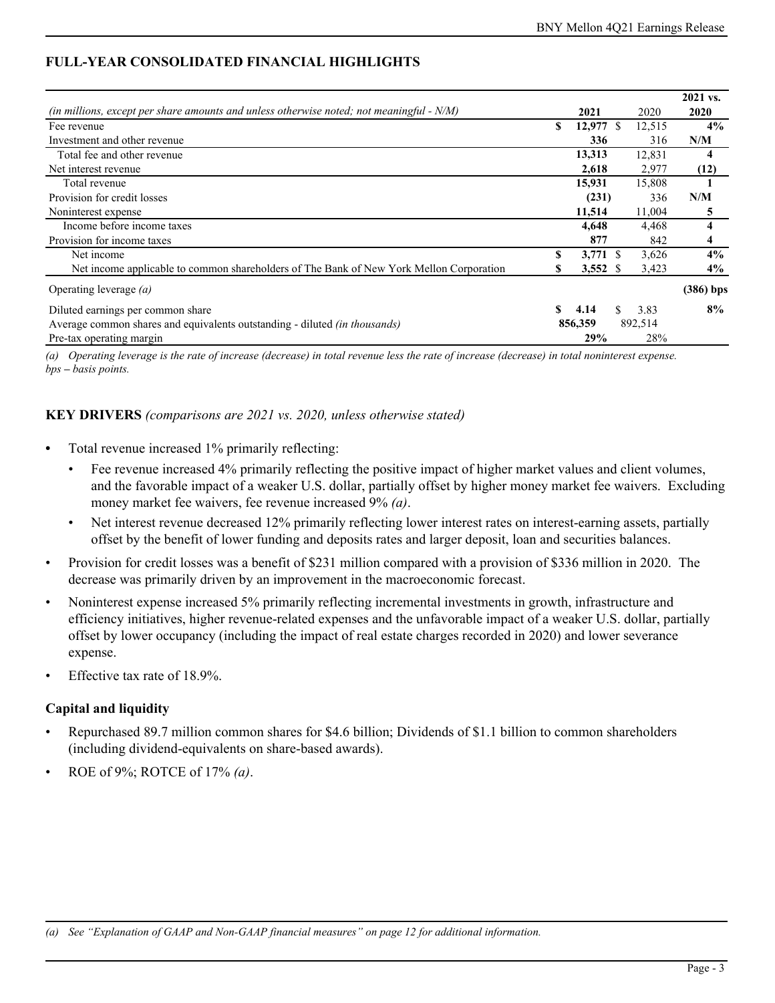## **FULL-YEAR CONSOLIDATED FINANCIAL HIGHLIGHTS**

|                                                                                             |    |                  |     |         | 2021 vs.    |
|---------------------------------------------------------------------------------------------|----|------------------|-----|---------|-------------|
| (in millions, except per share amounts and unless otherwise noted; not meaningful - $N/M$ ) |    | 2021             |     | 2020    | 2020        |
| Fee revenue                                                                                 | S  | $12,977$ \$      |     | 12,515  | $4\%$       |
| Investment and other revenue                                                                |    | 336              |     | 316     | N/M         |
| Total fee and other revenue                                                                 |    | 13,313           |     | 12,831  | 4           |
| Net interest revenue                                                                        |    | 2,618            |     | 2,977   | (12)        |
| Total revenue                                                                               |    | 15.931           |     | 15,808  |             |
| Provision for credit losses                                                                 |    | (231)            |     | 336     | N/M         |
| Noninterest expense                                                                         |    | 11,514           |     | 11,004  | 5           |
| Income before income taxes                                                                  |    | 4,648            |     | 4,468   | 4           |
| Provision for income taxes                                                                  |    | 877              |     | 842     | 4           |
| Net income                                                                                  | \$ | $3,771$ \$       |     | 3,626   | 4%          |
| Net income applicable to common shareholders of The Bank of New York Mellon Corporation     |    | $3,552 \text{ }$ |     | 3,423   | $4\%$       |
| Operating leverage $(a)$                                                                    |    |                  |     |         | $(386)$ bps |
| Diluted earnings per common share                                                           |    | 4.14             | \$. | 3.83    | 8%          |
| Average common shares and equivalents outstanding - diluted <i>(in thousands)</i>           |    | 856,359          |     | 892,514 |             |
| Pre-tax operating margin                                                                    |    | 29%              |     | 28%     |             |

*(a) Operating leverage is the rate of increase (decrease) in total revenue less the rate of increase (decrease) in total noninterest expense. bps – basis points.*

#### **KEY DRIVERS** *(comparisons are 2021 vs. 2020, unless otherwise stated)*

- Total revenue increased 1% primarily reflecting:
	- Fee revenue increased 4% primarily reflecting the positive impact of higher market values and client volumes, and the favorable impact of a weaker U.S. dollar, partially offset by higher money market fee waivers. Excluding money market fee waivers, fee revenue increased 9% *(a)*.
	- Net interest revenue decreased 12% primarily reflecting lower interest rates on interest-earning assets, partially offset by the benefit of lower funding and deposits rates and larger deposit, loan and securities balances.
- Provision for credit losses was a benefit of \$231 million compared with a provision of \$336 million in 2020. The decrease was primarily driven by an improvement in the macroeconomic forecast.
- Noninterest expense increased 5% primarily reflecting incremental investments in growth, infrastructure and efficiency initiatives, higher revenue-related expenses and the unfavorable impact of a weaker U.S. dollar, partially offset by lower occupancy (including the impact of real estate charges recorded in 2020) and lower severance expense.
- Effective tax rate of 18.9%.

### **Capital and liquidity**

- Repurchased 89.7 million common shares for \$4.6 billion; Dividends of \$1.1 billion to common shareholders (including dividend-equivalents on share-based awards).
- ROE of 9%; ROTCE of 17% *(a)*.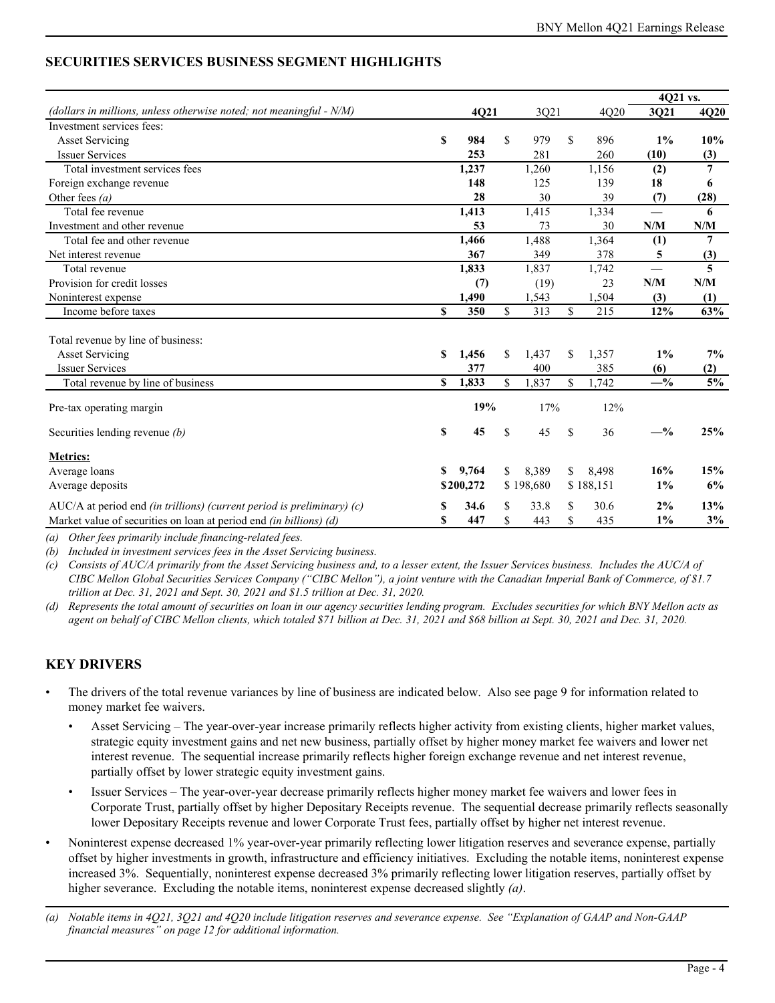## **SECURITIES SERVICES BUSINESS SEGMENT HIGHLIGHTS**

|                                                                           |             |           |             |           |    |           | 4Q21 vs. |                |
|---------------------------------------------------------------------------|-------------|-----------|-------------|-----------|----|-----------|----------|----------------|
| (dollars in millions, unless otherwise noted; not meaningful $- N/M$ )    |             | 4Q21      |             | 3Q21      |    | 4Q20      | 3Q21     | 4Q20           |
| Investment services fees:                                                 |             |           |             |           |    |           |          |                |
| <b>Asset Servicing</b>                                                    | S           | 984       | $\mathbf S$ | 979       | \$ | 896       | $1\%$    | 10%            |
| <b>Issuer Services</b>                                                    |             | 253       |             | 281       |    | 260       | (10)     | (3)            |
| Total investment services fees                                            |             | 1,237     |             | 1,260     |    | 1,156     | (2)      | $\overline{7}$ |
| Foreign exchange revenue                                                  |             | 148       |             | 125       |    | 139       | 18       | 6              |
| Other fees $(a)$                                                          |             | 28        |             | 30        |    | 39        | (7)      | (28)           |
| Total fee revenue                                                         |             | 1,413     |             | 1,415     |    | 1,334     |          | 6              |
| Investment and other revenue                                              |             | 53        |             | 73        |    | 30        | N/M      | N/M            |
| Total fee and other revenue                                               |             | 1,466     |             | 1,488     |    | 1,364     | (1)      | 7              |
| Net interest revenue                                                      |             | 367       |             | 349       |    | 378       | 5        | (3)            |
| Total revenue                                                             |             | 1,833     |             | 1,837     |    | 1,742     |          | 5              |
| Provision for credit losses                                               |             | (7)       |             | (19)      |    | 23        | N/M      | N/M            |
| Noninterest expense                                                       |             | 1,490     |             | 1,543     |    | 1,504     | (3)      | (1)            |
| Income before taxes                                                       | $\mathbf S$ | 350       | $\mathbf S$ | 313       | \$ | 215       | 12%      | 63%            |
| Total revenue by line of business:                                        |             |           |             |           |    |           |          |                |
| <b>Asset Servicing</b>                                                    | S           | 1,456     | \$          | 1,437     | \$ | 1,357     | $1\%$    | 7%             |
| <b>Issuer Services</b>                                                    |             | 377       |             | 400       |    | 385       | (6)      | (2)            |
| Total revenue by line of business                                         | S           | 1,833     | \$          | 1,837     | \$ | 1,742     | $-$ %    | 5%             |
|                                                                           |             |           |             |           |    |           |          |                |
| Pre-tax operating margin                                                  |             | 19%       |             | 17%       |    | 12%       |          |                |
| Securities lending revenue (b)                                            | \$          | 45        | \$          | 45        | \$ | 36        | $-$ %    | 25%            |
| <b>Metrics:</b>                                                           |             |           |             |           |    |           |          |                |
| Average loans                                                             | \$          | 9.764     | \$          | 8.389     | \$ | 8,498     | 16%      | 15%            |
| Average deposits                                                          |             | \$200,272 |             | \$198,680 |    | \$188,151 | $1\%$    | 6%             |
| AUC/A at period end (in trillions) (current period is preliminary) $(c)$  | S           | 34.6      | S           | 33.8      | S  | 30.6      | 2%       | 13%            |
| Market value of securities on loan at period end <i>(in billions) (d)</i> | \$          | 447       | \$          | 443       | \$ | 435       | 1%       | 3%             |

*(a) Other fees primarily include financing-related fees.*

*(b) Included in investment services fees in the Asset Servicing business.*

*(c) Consists of AUC/A primarily from the Asset Servicing business and, to a lesser extent, the Issuer Services business. Includes the AUC/A of CIBC Mellon Global Securities Services Company ("CIBC Mellon"), a joint venture with the Canadian Imperial Bank of Commerce, of \$1.7 trillion at Dec. 31, 2021 and Sept. 30, 2021 and \$1.5 trillion at Dec. 31, 2020.*

*(d) Represents the total amount of securities on loan in our agency securities lending program. Excludes securities for which BNY Mellon acts as agent on behalf of CIBC Mellon clients, which totaled \$71 billion at Dec. 31, 2021 and \$68 billion at Sept. 30, 2021 and Dec. 31, 2020.*

- The drivers of the total revenue variances by line of business are indicated below. Also see page [9](#page-8-0) for information related to money market fee waivers.
	- Asset Servicing The year-over-year increase primarily reflects higher activity from existing clients, higher market values, strategic equity investment gains and net new business, partially offset by higher money market fee waivers and lower net interest revenue. The sequential increase primarily reflects higher foreign exchange revenue and net interest revenue, partially offset by lower strategic equity investment gains.
	- Issuer Services The year-over-year decrease primarily reflects higher money market fee waivers and lower fees in Corporate Trust, partially offset by higher Depositary Receipts revenue. The sequential decrease primarily reflects seasonally lower Depositary Receipts revenue and lower Corporate Trust fees, partially offset by higher net interest revenue.
- Noninterest expense decreased 1% year-over-year primarily reflecting lower litigation reserves and severance expense, partially offset by higher investments in growth, infrastructure and efficiency initiatives. Excluding the notable items, noninterest expense increased 3%. Sequentially, noninterest expense decreased 3% primarily reflecting lower litigation reserves, partially offset by higher severance. Excluding the notable items, noninterest expense decreased slightly *(a)*.
- *(a) Notable items in 4Q21, 3Q21 and 4Q20 include litigation reserves and severance expense. See "Explanation of GAAP and Non-GAAP financial measures" on page [12](#page-11-0) for additional information.*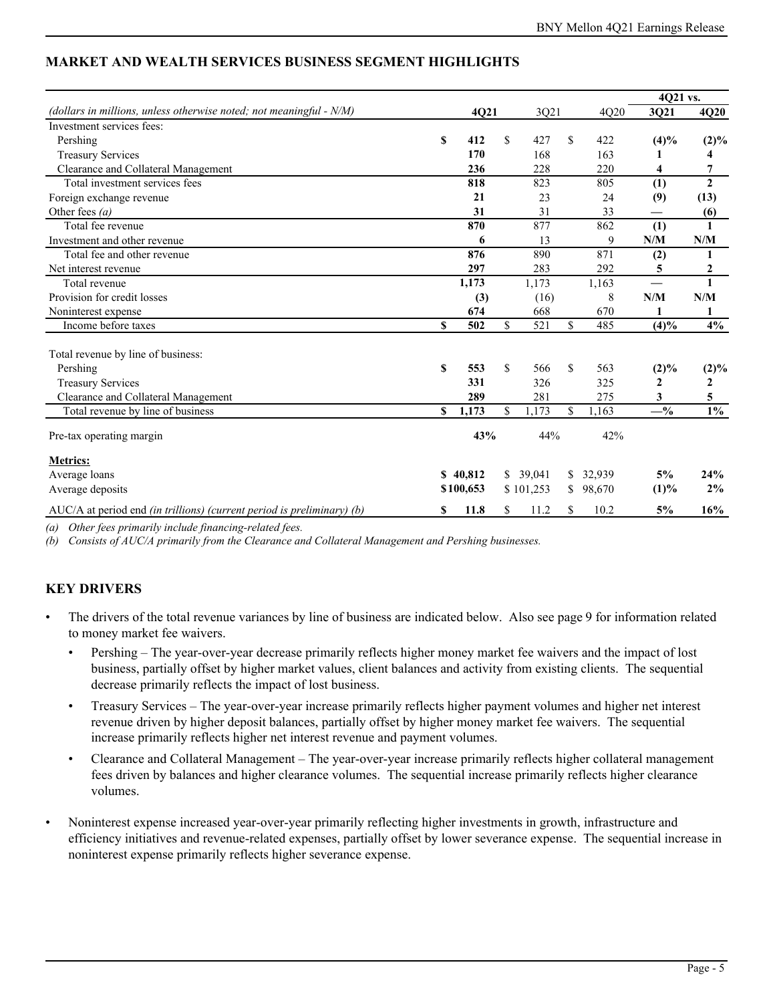|                                                                                 |    |           |     |           |             |        | 4Q21 vs. |                |
|---------------------------------------------------------------------------------|----|-----------|-----|-----------|-------------|--------|----------|----------------|
| (dollars in millions, unless otherwise noted; not meaningful $- N/M$ )          |    | 4Q21      |     | 3Q21      |             | 4Q20   | 3Q21     | 4Q20           |
| Investment services fees:                                                       |    |           |     |           |             |        |          |                |
| Pershing                                                                        | S  | 412       | \$  | 427       | \$          | 422    | (4)%     | $(2)\%$        |
| <b>Treasury Services</b>                                                        |    | 170       |     | 168       |             | 163    |          | 4              |
| Clearance and Collateral Management                                             |    | 236       |     | 228       |             | 220    | 4        | 7              |
| Total investment services fees                                                  |    | 818       |     | 823       |             | 805    | (1)      | $\overline{2}$ |
| Foreign exchange revenue                                                        |    | 21        |     | 23        |             | 24     | (9)      | (13)           |
| Other fees $(a)$                                                                |    | 31        |     | 31        |             | 33     |          | (6)            |
| Total fee revenue                                                               |    | 870       |     | 877       |             | 862    | (1)      | 1              |
| Investment and other revenue                                                    |    | 6         |     | 13        |             | 9      | N/M      | N/M            |
| Total fee and other revenue                                                     |    | 876       |     | 890       |             | 871    | (2)      | 1              |
| Net interest revenue                                                            |    | 297       |     | 283       |             | 292    | 5        | 2              |
| Total revenue                                                                   |    | 1,173     |     | 1,173     |             | 1,163  |          | $\mathbf{1}$   |
| Provision for credit losses                                                     |    | (3)       |     | (16)      |             | 8      | N/M      | N/M            |
| Noninterest expense                                                             |    | 674       |     | 668       |             | 670    |          | 1              |
| Income before taxes                                                             | \$ | 502       | \$  | 521       | \$          | 485    | (4)%     | 4%             |
|                                                                                 |    |           |     |           |             |        |          |                |
| Total revenue by line of business:                                              |    |           |     |           |             |        |          |                |
| Pershing                                                                        | S  | 553       | \$  | 566       | $\mathbf S$ | 563    | $(2)\%$  | $(2)\%$        |
| <b>Treasury Services</b>                                                        |    | 331       |     | 326       |             | 325    | 2        | 2              |
| Clearance and Collateral Management                                             |    | 289       |     | 281       |             | 275    | 3        | 5              |
| Total revenue by line of business                                               | \$ | 1,173     | \$. | 1,173     | \$          | 1,163  | $-$ %    | $1\%$          |
|                                                                                 |    |           |     |           |             |        |          |                |
| Pre-tax operating margin                                                        |    | 43%       |     | 44%       |             | 42%    |          |                |
| <b>Metrics:</b>                                                                 |    |           |     |           |             |        |          |                |
| Average loans                                                                   |    | \$40.812  |     | \$39.041  | \$          | 32,939 | 5%       | 24%            |
| Average deposits                                                                |    | \$100,653 |     | \$101,253 | \$          | 98,670 | (1)%     | 2%             |
| $AUC/A$ at period end <i>(in trillions) (current period is preliminary) (b)</i> |    | 11.8      | \$  | 11.2      | S           | 10.2   | 5%       | 16%            |

# **MARKET AND WEALTH SERVICES BUSINESS SEGMENT HIGHLIGHTS**

*(a) Other fees primarily include financing-related fees.*

*(b) Consists of AUC/A primarily from the Clearance and Collateral Management and Pershing businesses.* 

- The drivers of the total revenue variances by line of business are indicated below. Also see page [9](#page-8-0) for information related to money market fee waivers.
	- Pershing The year-over-year decrease primarily reflects higher money market fee waivers and the impact of lost business, partially offset by higher market values, client balances and activity from existing clients. The sequential decrease primarily reflects the impact of lost business.
	- Treasury Services The year-over-year increase primarily reflects higher payment volumes and higher net interest revenue driven by higher deposit balances, partially offset by higher money market fee waivers. The sequential increase primarily reflects higher net interest revenue and payment volumes.
	- Clearance and Collateral Management The year-over-year increase primarily reflects higher collateral management fees driven by balances and higher clearance volumes. The sequential increase primarily reflects higher clearance volumes.
- Noninterest expense increased year-over-year primarily reflecting higher investments in growth, infrastructure and efficiency initiatives and revenue-related expenses, partially offset by lower severance expense. The sequential increase in noninterest expense primarily reflects higher severance expense.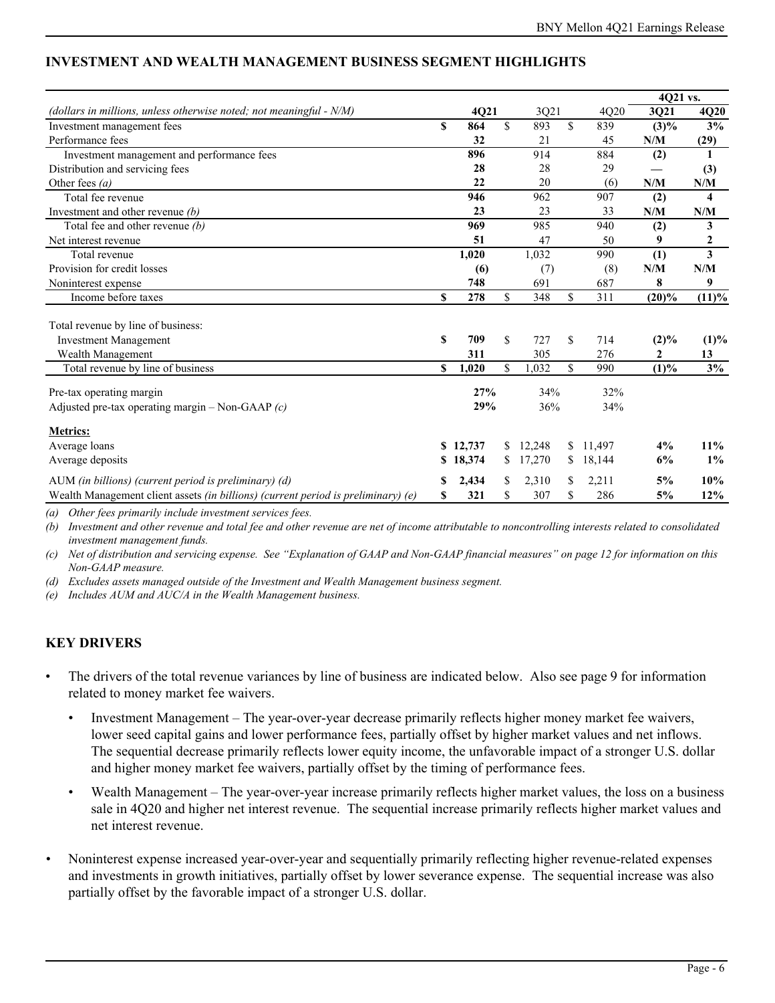|                                                                                   |    |          |    |        |              | 4021 vs.       |          |
|-----------------------------------------------------------------------------------|----|----------|----|--------|--------------|----------------|----------|
| (dollars in millions, unless otherwise noted; not meaningful $- N/M$ )            |    | 4Q21     |    | 3Q21   | 4Q20         | 3Q21           | 4Q20     |
| Investment management fees                                                        | S  | 864      | \$ | 893    | \$<br>839    | $(3)\%$        | 3%       |
| Performance fees                                                                  |    | 32       |    | 21     | 45           | N/M            | (29)     |
| Investment management and performance fees                                        |    | 896      |    | 914    | 884          | (2)            | 1        |
| Distribution and servicing fees                                                   |    | 28       |    | 28     | 29           |                | (3)      |
| Other fees $(a)$                                                                  |    | 22       |    | 20     | (6)          | N/M            | N/M      |
| Total fee revenue                                                                 |    | 946      |    | 962    | 907          | (2)            | 4        |
| Investment and other revenue $(b)$                                                |    | 23       |    | 23     | 33           | N/M            | N/M      |
| Total fee and other revenue $(b)$                                                 |    | 969      |    | 985    | 940          | (2)            | 3        |
| Net interest revenue                                                              |    | 51       |    | 47     | 50           | 9              | 2        |
| Total revenue                                                                     |    | 1,020    |    | 1,032  | 990          | (1)            | 3        |
| Provision for credit losses                                                       |    | (6)      |    | (7)    | (8)          | N/M            | N/M      |
| Noninterest expense                                                               |    | 748      |    | 691    | 687          | 8              | 9        |
| Income before taxes                                                               | S  | 278      | \$ | 348    | \$<br>311    | $(20)\%$       | $(11)\%$ |
| Total revenue by line of business:                                                |    |          |    |        |              |                |          |
| <b>Investment Management</b>                                                      | S  | 709      | \$ | 727    | \$<br>714    | $(2)\%$        | (1)%     |
| Wealth Management                                                                 |    | 311      |    | 305    | 276          | $\overline{2}$ | 13       |
| Total revenue by line of business                                                 | S  | 1,020    | \$ | ,032   | \$<br>990    | (1)%           | 3%       |
| Pre-tax operating margin                                                          |    | 27%      |    | 34%    | 32%          |                |          |
| Adjusted pre-tax operating margin – Non-GAAP $(c)$                                |    | 29%      |    | 36%    | 34%          |                |          |
| <b>Metrics:</b>                                                                   |    |          |    |        |              |                |          |
| Average loans                                                                     |    | \$12,737 | \$ | 12.248 | \$<br>11.497 | 4%             | $11\%$   |
| Average deposits                                                                  | S. | 18,374   | S  | 17,270 | \$<br>18,144 | 6%             | $1\%$    |
| AUM (in billions) (current period is preliminary) (d)                             |    | 2,434    | \$ | 2,310  | 2,211        | 5%             | 10%      |
| Wealth Management client assets (in billions) (current period is preliminary) (e) | \$ | 321      | \$ | 307    | \$<br>286    | 5%             | 12%      |

# **INVESTMENT AND WEALTH MANAGEMENT BUSINESS SEGMENT HIGHLIGHTS**

*(a) Other fees primarily include investment services fees.* 

*(b) Investment and other revenue and total fee and other revenue are net of income attributable to noncontrolling interests related to consolidated investment management funds.*

*(c) Net of distribution and servicing expense. See "Explanation of GAAP and Non-GAAP financial measures" on page [12](#page-11-0) for information on this Non-GAAP measure.* 

*(d) Excludes assets managed outside of the Investment and Wealth Management business segment.*

*(e) Includes AUM and AUC/A in the Wealth Management business.* 

- The drivers of the total revenue variances by line of business are indicated below. Also see page [9](#page-8-0) for information related to money market fee waivers.
	- Investment Management The year-over-year decrease primarily reflects higher money market fee waivers, lower seed capital gains and lower performance fees, partially offset by higher market values and net inflows. The sequential decrease primarily reflects lower equity income, the unfavorable impact of a stronger U.S. dollar and higher money market fee waivers, partially offset by the timing of performance fees.
	- Wealth Management The year-over-year increase primarily reflects higher market values, the loss on a business sale in 4Q20 and higher net interest revenue. The sequential increase primarily reflects higher market values and net interest revenue.
- *•* Noninterest expense increased year-over-year and sequentially primarily reflecting higher revenue-related expenses and investments in growth initiatives, partially offset by lower severance expense. The sequential increase was also partially offset by the favorable impact of a stronger U.S. dollar.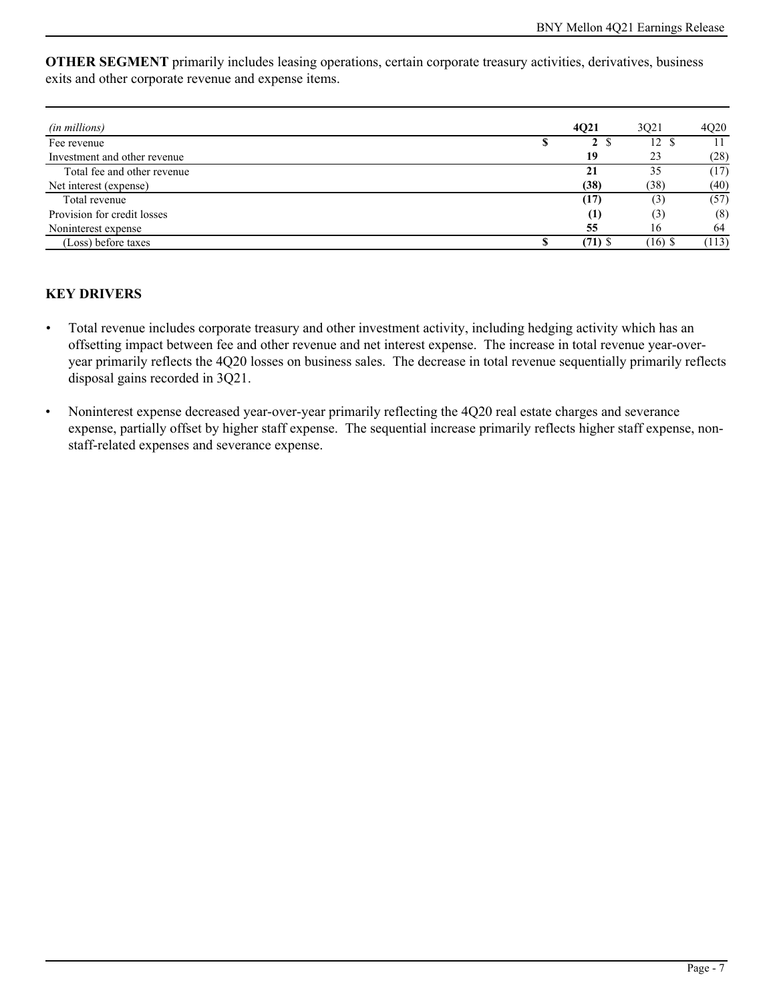**OTHER SEGMENT** primarily includes leasing operations, certain corporate treasury activities, derivatives, business exits and other corporate revenue and expense items.

| (in millions)                |    | 4021      | 3021      | 4O <sub>2</sub> 0 |
|------------------------------|----|-----------|-----------|-------------------|
| Fee revenue                  | ۰D | 2 \$      | 12 \$     |                   |
| Investment and other revenue |    | 19        | 23        | (28)              |
| Total fee and other revenue  |    | 21        | 35        | (17)              |
| Net interest (expense)       |    | (38)      | (38)      | (40)              |
| Total revenue                |    | (17)      | (3)       | (57)              |
| Provision for credit losses  |    | (1)       | (3)       | (8)               |
| Noninterest expense          |    | 55        | 16        | 64                |
| (Loss) before taxes          |    | $(71)$ \$ | $(16)$ \$ | (113)             |

- *•* Total revenue includes corporate treasury and other investment activity, including hedging activity which has an offsetting impact between fee and other revenue and net interest expense. The increase in total revenue year-overyear primarily reflects the 4Q20 losses on business sales. The decrease in total revenue sequentially primarily reflects disposal gains recorded in 3Q21.
- Noninterest expense decreased year-over-year primarily reflecting the 4Q20 real estate charges and severance expense, partially offset by higher staff expense. The sequential increase primarily reflects higher staff expense, nonstaff-related expenses and severance expense.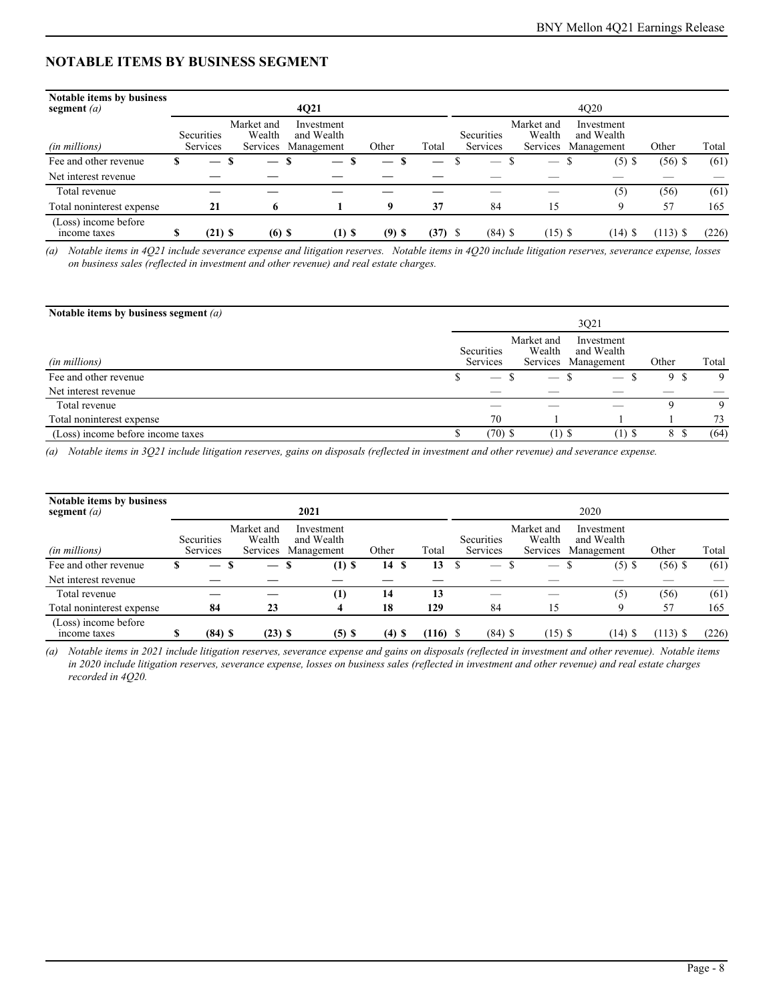## **NOTABLE ITEMS BY BUSINESS SEGMENT**

| <b>Notable items by business</b><br>segment $(a)$ |   |                                      |   |                                  | 4Q21                                   |                          |          | 4Q20      |  |                          |                                                                            |                   |  |           |            |       |  |  |
|---------------------------------------------------|---|--------------------------------------|---|----------------------------------|----------------------------------------|--------------------------|----------|-----------|--|--------------------------|----------------------------------------------------------------------------|-------------------|--|-----------|------------|-------|--|--|
| (in millions)                                     |   | <b>Securities</b><br><b>Services</b> |   | Market and<br>Wealth<br>Services | Investment<br>and Wealth<br>Management |                          | Other    | Total     |  | Securities<br>Services   | Market and<br>Investment<br>Wealth<br>and Wealth<br>Management<br>Services |                   |  |           | Other      | Total |  |  |
| Fee and other revenue                             | S |                                      | S |                                  | S                                      | $\overline{\phantom{m}}$ | —        |           |  | $\overline{\phantom{a}}$ |                                                                            | $\hspace{0.05cm}$ |  | $(5)$ \$  | $(56)$ \$  | (61)  |  |  |
| Net interest revenue                              |   |                                      |   |                                  |                                        |                          |          |           |  |                          |                                                                            |                   |  |           |            |       |  |  |
| Total revenue                                     |   |                                      |   |                                  |                                        |                          |          |           |  |                          |                                                                            |                   |  | (5)       | (56)       | (61)  |  |  |
| Total noninterest expense                         |   | 21                                   |   | 6                                |                                        |                          | q        | 37        |  | 84                       |                                                                            | 15                |  | 9         | 57         | 165   |  |  |
| (Loss) income before<br>income taxes              | S | $(21)$ \$                            |   | $(6)$ \$                         |                                        | $(1)$ \$                 | $(9)$ \$ | $(37)$ \$ |  | $(84)$ \$                |                                                                            | $(15)$ \$         |  | $(14)$ \$ | $(113)$ \$ | (226) |  |  |

*(a) Notable items in 4Q21 include severance expense and litigation reserves. Notable items in 4Q20 include litigation reserves, severance expense, losses on business sales (reflected in investment and other revenue) and real estate charges.*

| Notable items by business segment $(a)$ | 3Q21 |                          |                      |                                                 |       |       |  |  |
|-----------------------------------------|------|--------------------------|----------------------|-------------------------------------------------|-------|-------|--|--|
| (in millions)                           |      | Securities<br>Services   | Market and<br>Wealth | Investment<br>and Wealth<br>Services Management | Other | Total |  |  |
| Fee and other revenue                   |      | $\overline{\phantom{m}}$ | $\sim$               | $\overline{\phantom{a}}$                        | 9 S   | 9     |  |  |
| Net interest revenue                    |      |                          |                      |                                                 |       |       |  |  |
| Total revenue                           |      |                          |                      |                                                 |       | 9     |  |  |
| Total noninterest expense               |      | 70                       |                      |                                                 |       | 73    |  |  |
| (Loss) income before income taxes       |      | $(70)$ \$                | $(1)$ \$             | (1) S                                           | 8     | (64)  |  |  |

*(a) Notable items in 3Q21 include litigation reserves, gains on disposals (reflected in investment and other revenue) and severance expense.* 

| Notable items by business<br>segment $(a)$ |   |                          |    |                                  | 2021                                   |          |            |                          |                                  | 2020                                   |           |            |       |
|--------------------------------------------|---|--------------------------|----|----------------------------------|----------------------------------------|----------|------------|--------------------------|----------------------------------|----------------------------------------|-----------|------------|-------|
| (in millions)                              |   | Securities<br>Services   |    | Market and<br>Wealth<br>Services | Investment<br>and Wealth<br>Management | Other    | Total      | Securities<br>Services   | Market and<br>Wealth<br>Services | Investment<br>and Wealth<br>Management |           | Other      | Total |
| Fee and other revenue                      | S | $\overline{\phantom{a}}$ | -S | $\overline{\phantom{m}}$         | $(1)$ \$<br>-S                         | 14<br>-S | 13         | $\overline{\phantom{a}}$ |                                  |                                        | $(5)$ \$  | $(56)$ \$  | (61)  |
| Net interest revenue                       |   |                          |    |                                  |                                        |          |            |                          |                                  |                                        |           |            |       |
| Total revenue                              |   |                          |    |                                  | (1)                                    | 14       | 13         |                          |                                  |                                        | (5)       | (56)       | (61)  |
| Total noninterest expense                  |   | 84                       |    | 23                               |                                        | 18       | 129        | 84                       | 15                               |                                        | C         | 57         | 165   |
| (Loss) income before<br>income taxes       |   | $(84)$ \$                |    | $(23)$ \$                        | (5) S                                  | $(4)$ \$ | $(116)$ \$ | $(84)$ \$                | $(15)$ \$                        |                                        | $(14)$ \$ | $(113)$ \$ | (226) |

*(a) Notable items in 2021 include litigation reserves, severance expense and gains on disposals (reflected in investment and other revenue). Notable items in 2020 include litigation reserves, severance expense, losses on business sales (reflected in investment and other revenue) and real estate charges recorded in 4Q20.*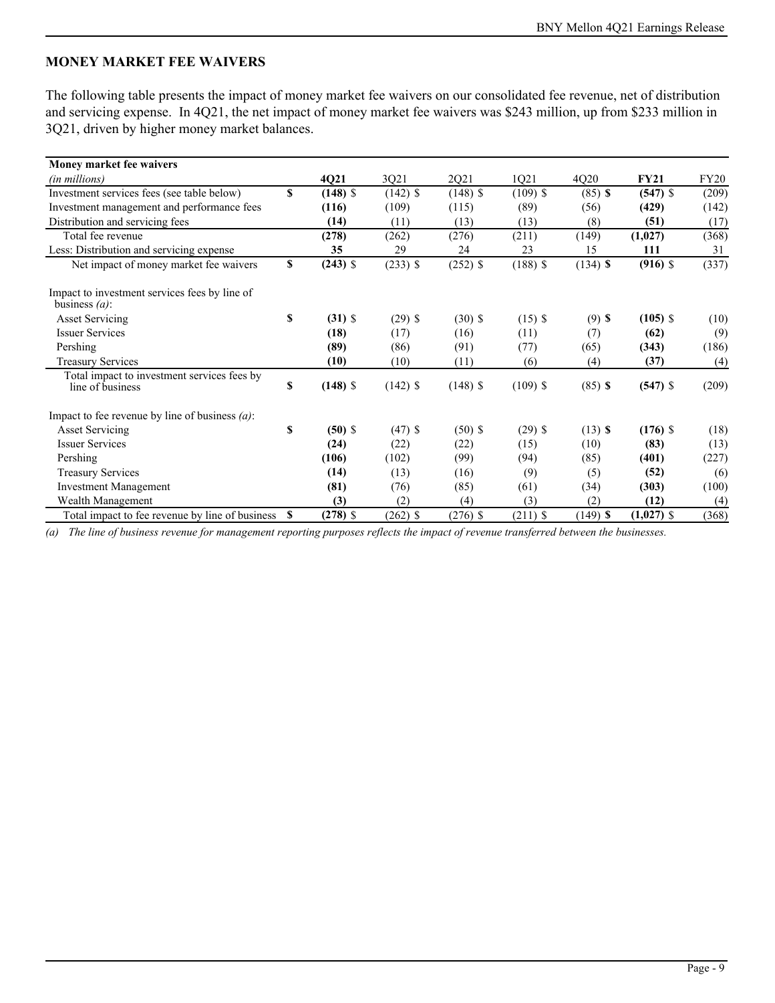#### <span id="page-8-0"></span>**MONEY MARKET FEE WAIVERS**

The following table presents the impact of money market fee waivers on our consolidated fee revenue, net of distribution and servicing expense. In 4Q21, the net impact of money market fee waivers was \$243 million, up from \$233 million in 3Q21, driven by higher money market balances.

| Money market fee waivers                                          |    |            |            |            |            |            |              |             |
|-------------------------------------------------------------------|----|------------|------------|------------|------------|------------|--------------|-------------|
| (in millions)                                                     |    | 4Q21       | 3Q21       | 2Q21       | 1Q21       | 4Q20       | <b>FY21</b>  | <b>FY20</b> |
| Investment services fees (see table below)                        | S  | $(148)$ \$ | $(142)$ \$ | $(148)$ \$ | $(109)$ \$ | $(85)$ \$  | $(547)$ \$   | (209)       |
| Investment management and performance fees                        |    | (116)      | (109)      | (115)      | (89)       | (56)       | (429)        | (142)       |
| Distribution and servicing fees                                   |    | (14)       | (11)       | (13)       | (13)       | (8)        | (51)         | (17)        |
| Total fee revenue                                                 |    | (278)      | (262)      | (276)      | (211)      | (149)      | (1,027)      | (368)       |
| Less: Distribution and servicing expense                          |    | 35         | 29         | 24         | 23         | 15         | 111          | 31          |
| Net impact of money market fee waivers                            | \$ | $(243)$ \$ | $(233)$ \$ | $(252)$ \$ | $(188)$ \$ | $(134)$ \$ | $(916)$ \$   | (337)       |
| Impact to investment services fees by line of<br>business $(a)$ : |    |            |            |            |            |            |              |             |
| <b>Asset Servicing</b>                                            | S  | $(31)$ \$  | $(29)$ \$  | $(30)$ \$  | $(15)$ \$  | $(9)$ \$   | $(105)$ \$   | (10)        |
| <b>Issuer Services</b>                                            |    | (18)       | (17)       | (16)       | (11)       | (7)        | (62)         | (9)         |
| Pershing                                                          |    | (89)       | (86)       | (91)       | (77)       | (65)       | (343)        | (186)       |
| <b>Treasury Services</b>                                          |    | (10)       | (10)       | (11)       | (6)        | (4)        | (37)         | (4)         |
| Total impact to investment services fees by<br>line of business   | \$ | $(148)$ \$ | $(142)$ \$ | $(148)$ \$ | $(109)$ \$ | $(85)$ \$  | $(547)$ \$   | (209)       |
| Impact to fee revenue by line of business $(a)$ :                 |    |            |            |            |            |            |              |             |
| <b>Asset Servicing</b>                                            | \$ | $(50)$ \$  | $(47)$ \$  | $(50)$ \$  | $(29)$ \$  | $(13)$ \$  | $(176)$ \$   | (18)        |
| <b>Issuer Services</b>                                            |    | (24)       | (22)       | (22)       | (15)       | (10)       | (83)         | (13)        |
| Pershing                                                          |    | (106)      | (102)      | (99)       | (94)       | (85)       | (401)        | (227)       |
| <b>Treasury Services</b>                                          |    | (14)       | (13)       | (16)       | (9)        | (5)        | (52)         | (6)         |
| <b>Investment Management</b>                                      |    | (81)       | (76)       | (85)       | (61)       | (34)       | (303)        | (100)       |
| Wealth Management                                                 |    | (3)        | (2)        | (4)        | (3)        | (2)        | (12)         | (4)         |
| Total impact to fee revenue by line of business                   | -S | $(278)$ \$ | $(262)$ \$ | $(276)$ \$ | $(211)$ \$ | $(149)$ \$ | $(1,027)$ \$ | (368)       |

*(a) The line of business revenue for management reporting purposes reflects the impact of revenue transferred between the businesses.*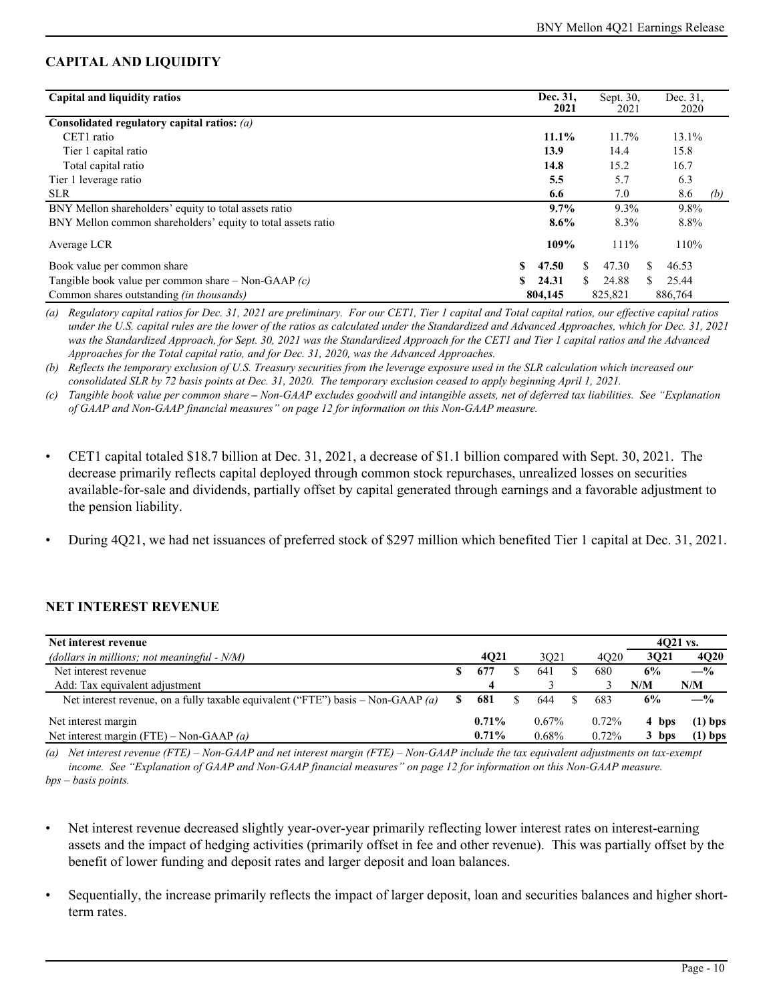## **CAPITAL AND LIQUIDITY**

| Capital and liquidity ratios                                 | Dec. 31,<br>2021   |    | Sept. 30.<br>2021 |  | Dec. 31.<br>2020 |     |  |
|--------------------------------------------------------------|--------------------|----|-------------------|--|------------------|-----|--|
| Consolidated regulatory capital ratios: $(a)$                |                    |    |                   |  |                  |     |  |
| CET1 ratio                                                   | 11.1%              |    | 11.7%             |  | 13.1%            |     |  |
| Tier 1 capital ratio                                         | 13.9               |    | 14.4              |  | 15.8             |     |  |
| Total capital ratio                                          | 14.8<br>15.2       |    |                   |  | 16.7             |     |  |
| Tier 1 leverage ratio                                        | 5.5                |    | 5.7               |  | 6.3              |     |  |
| <b>SLR</b>                                                   | 6.6                |    | 7.0               |  | 8.6              | (b) |  |
| BNY Mellon shareholders' equity to total assets ratio        | $9.7\%$            |    | 9.3%              |  | 9.8%             |     |  |
| BNY Mellon common shareholders' equity to total assets ratio | $8.6\%$            |    | 8.3%              |  | 8.8%             |     |  |
| Average LCR                                                  | 109%               |    | $111\%$           |  | 110%             |     |  |
| \$<br>Book value per common share                            | 47.50              | S. | 47.30             |  | 46.53            |     |  |
| Tangible book value per common share – Non-GAAP $(c)$<br>SS. | 24.31              | S. | 24.88             |  | 25.44            |     |  |
| Common shares outstanding <i>(in thousands)</i>              | 804,145<br>825,821 |    | 886,764           |  |                  |     |  |

*(a) Regulatory capital ratios for Dec. 31, 2021 are preliminary. For our CET1, Tier 1 capital and Total capital ratios, our effective capital ratios under the U.S. capital rules are the lower of the ratios as calculated under the Standardized and Advanced Approaches, which for Dec. 31, 2021 was the Standardized Approach, for Sept. 30, 2021 was the Standardized Approach for the CET1 and Tier 1 capital ratios and the Advanced Approaches for the Total capital ratio, and for Dec. 31, 2020, was the Advanced Approaches.*

*(b) Reflects the temporary exclusion of U.S. Treasury securities from the leverage exposure used in the SLR calculation which increased our consolidated SLR by 72 basis points at Dec. 31, 2020. The temporary exclusion ceased to apply beginning April 1, 2021.* 

*(c) Tangible book value per common share – Non-GAAP excludes goodwill and intangible assets, net of deferred tax liabilities. See "Explanation of GAAP and Non-GAAP financial measures" on page [12](#page-11-0) for information on this Non-GAAP measure.*

- CET1 capital totaled \$18.7 billion at Dec. 31, 2021, a decrease of \$1.1 billion compared with Sept. 30, 2021. The decrease primarily reflects capital deployed through common stock repurchases, unrealized losses on securities available-for-sale and dividends, partially offset by capital generated through earnings and a favorable adjustment to the pension liability.
- During 4Q21, we had net issuances of preferred stock of \$297 million which benefited Tier 1 capital at Dec. 31, 2021.

## **NET INTEREST REVENUE**

| Net interest revenue                                                             |     |          |          |       |       | $4021$ vs.  |
|----------------------------------------------------------------------------------|-----|----------|----------|-------|-------|-------------|
| (dollars in millions; not meaningful - $N/M$ )                                   |     | 4021     | 3021     | 4020  | 3021  | <b>4Q20</b> |
| Net interest revenue                                                             |     | 677      | 641      | 680   | 6%    | $-$ %       |
| Add: Tax equivalent adjustment                                                   |     | 4        |          |       | N/M   | N/M         |
| Net interest revenue, on a fully taxable equivalent ("FTE") basis – Non-GAAP (a) | \$. | 681      | 644      | 683   | 6%    | $-$ %       |
| Net interest margin                                                              |     | $0.71\%$ | $0.67\%$ | 0.72% | 4 bps | $(1)$ bps   |
| Net interest margin (FTE) – Non-GAAP $(a)$                                       |     | $0.71\%$ | $0.68\%$ | 0.72% | 3 bps | $(1)$ bps   |

*(a) Net interest revenue (FTE) – Non-GAAP and net interest margin (FTE) – Non-GAAP include the tax equivalent adjustments on tax-exempt income. See "Explanation of GAAP and Non-GAAP financial measures" on page [12](#page-11-0) for information on this Non-GAAP measure. bps – basis points.*

- Net interest revenue decreased slightly year-over-year primarily reflecting lower interest rates on interest-earning assets and the impact of hedging activities (primarily offset in fee and other revenue). This was partially offset by the benefit of lower funding and deposit rates and larger deposit and loan balances.
- Sequentially, the increase primarily reflects the impact of larger deposit, loan and securities balances and higher shortterm rates.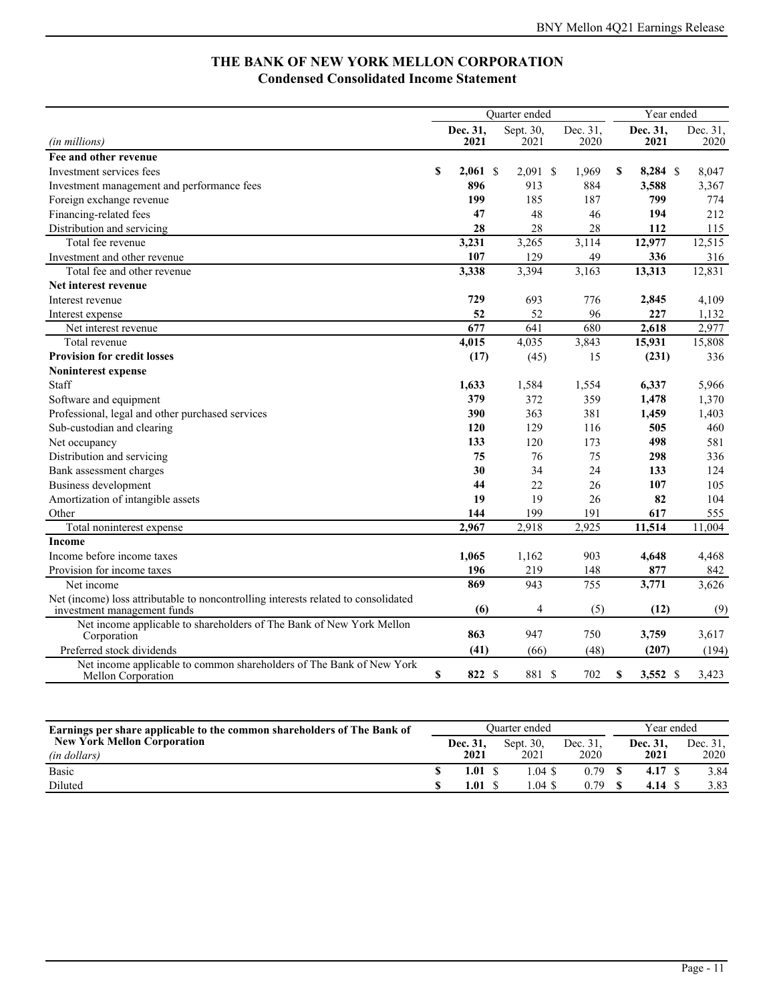## **THE BANK OF NEW YORK MELLON CORPORATION Condensed Consolidated Income Statement**

|                                                                                                                   |    |                  | <b>Ouarter</b> ended |                        | Year ended |                  |                  |
|-------------------------------------------------------------------------------------------------------------------|----|------------------|----------------------|------------------------|------------|------------------|------------------|
| <i>(in millions)</i>                                                                                              |    | Dec. 31,<br>2021 | Sept. 30,<br>2021    | Dec. 31,<br>2020       |            | Dec. 31,<br>2021 | Dec. 31,<br>2020 |
| Fee and other revenue                                                                                             |    |                  |                      |                        |            |                  |                  |
| Investment services fees                                                                                          | S  | $2,061$ \$       | 2,091                | <sup>\$</sup><br>1,969 | S          | $8,284$ \$       | 8,047            |
| Investment management and performance fees                                                                        |    | 896              | 913                  | 884                    |            | 3.588            | 3,367            |
| Foreign exchange revenue                                                                                          |    | 199              | 185                  | 187                    |            | 799              | 774              |
| Financing-related fees                                                                                            |    | 47               | 48                   | 46                     |            | 194              | 212              |
| Distribution and servicing                                                                                        |    | 28               | 28                   | 28                     |            | 112              | 115              |
| Total fee revenue                                                                                                 |    | 3,231            | 3,265                | 3,114                  |            | 12,977           | 12,515           |
| Investment and other revenue                                                                                      |    | 107              | 129                  | 49                     |            | 336              | 316              |
| Total fee and other revenue                                                                                       |    | 3,338            | 3,394                | 3,163                  |            | 13,313           | 12,831           |
| Net interest revenue                                                                                              |    |                  |                      |                        |            |                  |                  |
| Interest revenue                                                                                                  |    | 729              | 693                  | 776                    |            | 2,845            | 4,109            |
| Interest expense                                                                                                  |    | 52               | 52                   | 96                     |            | 227              | 1,132            |
| Net interest revenue                                                                                              |    | 677              | $\overline{641}$     | 680                    |            | 2,618            | 2,977            |
| Total revenue                                                                                                     |    | 4,015            | 4,035                | 3,843                  |            | 15,931           | 15,808           |
| <b>Provision for credit losses</b>                                                                                |    | (17)             | (45)                 | 15                     |            | (231)            | 336              |
| <b>Noninterest expense</b>                                                                                        |    |                  |                      |                        |            |                  |                  |
| Staff                                                                                                             |    | 1,633            | 1,584                | 1,554                  |            | 6,337            | 5,966            |
| Software and equipment                                                                                            |    | 379              | 372                  | 359                    |            | 1,478            | 1,370            |
| Professional, legal and other purchased services                                                                  |    | 390              | 363                  | 381                    |            | 1,459            | 1,403            |
| Sub-custodian and clearing                                                                                        |    | 120              | 129                  | 116                    |            | 505              | 460              |
| Net occupancy                                                                                                     |    | 133              | 120                  | 173                    |            | 498              | 581              |
| Distribution and servicing                                                                                        |    | 75               | 76                   | 75                     |            | 298              | 336              |
| Bank assessment charges                                                                                           |    | 30               | 34                   | 24                     |            | 133              | 124              |
| Business development                                                                                              |    | 44               | 22                   | 26                     |            | 107              | 105              |
| Amortization of intangible assets                                                                                 |    | 19               | 19                   | 26                     |            | 82               | 104              |
| Other                                                                                                             |    | 144              | 199                  | 191                    |            | 617              | 555              |
| Total noninterest expense                                                                                         |    | 2,967            | 2,918                | 2,925                  |            | 11,514           | 11,004           |
| <b>Income</b>                                                                                                     |    |                  |                      |                        |            |                  |                  |
| Income before income taxes                                                                                        |    | 1,065            | 1,162                | 903                    |            | 4,648            | 4,468            |
| Provision for income taxes                                                                                        |    | 196              | 219                  | 148                    |            | 877              | 842              |
| Net income                                                                                                        |    | 869              | 943                  | 755                    |            | 3,771            | 3,626            |
| Net (income) loss attributable to noncontrolling interests related to consolidated<br>investment management funds |    | (6)              | 4                    | (5)                    |            | (12)             | (9)              |
| Net income applicable to shareholders of The Bank of New York Mellon<br>Corporation                               |    | 863              | 947                  | 750                    |            | 3,759            | 3,617            |
| Preferred stock dividends                                                                                         |    | (41)             | (66)                 | (48)                   |            | (207)            | (194)            |
| Net income applicable to common shareholders of The Bank of New York<br>Mellon Corporation                        | \$ | 822 \$           | 881 \$               | 702                    | S          | $3,552$ \$       | 3,423            |

| Earnings per share applicable to the common shareholders of The Bank of |  |                 | Ouarter ended | Year ended |  |          |  |          |
|-------------------------------------------------------------------------|--|-----------------|---------------|------------|--|----------|--|----------|
| <b>New York Mellon Corporation</b>                                      |  | <b>Dec. 31.</b> | Sept. 30.     | Dec. 31.   |  | Dec. 31, |  | Dec. 31. |
| (in dollars)                                                            |  | 2021            | 2021          | 2020       |  | 2021     |  | 2020     |
| <b>Basic</b>                                                            |  | 1.01            | $.04$ \$      | 0.79       |  | 4.17S    |  | 3.84     |
| Diluted                                                                 |  | .01             | $.04$ \$      | 0.79       |  | 4.14     |  | 3.83     |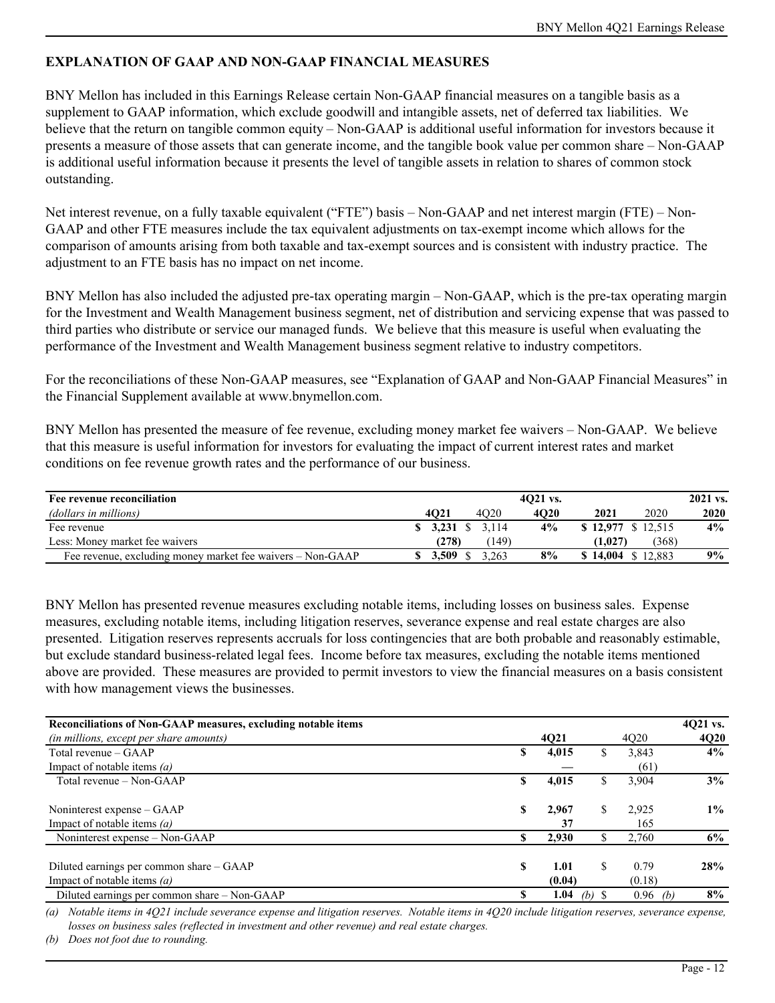## <span id="page-11-0"></span>**EXPLANATION OF GAAP AND NON-GAAP FINANCIAL MEASURES**

BNY Mellon has included in this Earnings Release certain Non-GAAP financial measures on a tangible basis as a supplement to GAAP information, which exclude goodwill and intangible assets, net of deferred tax liabilities. We believe that the return on tangible common equity – Non-GAAP is additional useful information for investors because it presents a measure of those assets that can generate income, and the tangible book value per common share – Non-GAAP is additional useful information because it presents the level of tangible assets in relation to shares of common stock outstanding.

Net interest revenue, on a fully taxable equivalent ("FTE") basis – Non-GAAP and net interest margin (FTE) – Non-GAAP and other FTE measures include the tax equivalent adjustments on tax-exempt income which allows for the comparison of amounts arising from both taxable and tax-exempt sources and is consistent with industry practice. The adjustment to an FTE basis has no impact on net income.

BNY Mellon has also included the adjusted pre-tax operating margin – Non-GAAP, which is the pre-tax operating margin for the Investment and Wealth Management business segment, net of distribution and servicing expense that was passed to third parties who distribute or service our managed funds. We believe that this measure is useful when evaluating the performance of the Investment and Wealth Management business segment relative to industry competitors.

For the reconciliations of these Non-GAAP measures, see "Explanation of GAAP and Non-GAAP Financial Measures" in the Financial Supplement available at www.bnymellon.com.

BNY Mellon has presented the measure of fee revenue, excluding money market fee waivers – Non-GAAP. We believe that this measure is useful information for investors for evaluating the impact of current interest rates and market conditions on fee revenue growth rates and the performance of our business.

| Fee revenue reconciliation                                 | 4021 vs. |                                 |      |                    |       | 2021 vs. |
|------------------------------------------------------------|----------|---------------------------------|------|--------------------|-------|----------|
| (dollars in millions)                                      | 4021     | 4020                            | 4020 | 2021               | 2020  | 2020     |
| Fee revenue                                                |          | $\frac{1}{2}$ 3,231 \, \, 3,114 | 4%   | \$12,977 \$12.515  |       | $4\%$    |
| Less: Money market fee waivers                             | (278)    | (149)                           |      | (1.027)            | (368) |          |
| Fee revenue, excluding money market fee waivers - Non-GAAP | 3.509    | 263                             | 8%   | $$14,004 \$12,883$ |       | $9\%$    |

BNY Mellon has presented revenue measures excluding notable items, including losses on business sales. Expense measures, excluding notable items, including litigation reserves, severance expense and real estate charges are also presented. Litigation reserves represents accruals for loss contingencies that are both probable and reasonably estimable, but exclude standard business-related legal fees. Income before tax measures, excluding the notable items mentioned above are provided. These measures are provided to permit investors to view the financial measures on a basis consistent with how management views the businesses.

| Reconciliations of Non-GAAP measures, excluding notable items |    |        |          |            | 4Q21 vs.    |
|---------------------------------------------------------------|----|--------|----------|------------|-------------|
| <i>(in millions, except per share amounts)</i>                |    | 4Q21   |          | 4020       | <b>4Q20</b> |
| Total revenue – GAAP                                          | \$ | 4,015  | .Ъ       | 3,843      | $4\%$       |
| Impact of notable items $(a)$                                 |    |        |          | (61)       |             |
| Total revenue – Non-GAAP                                      | \$ | 4,015  |          | 3,904      | 3%          |
| Noninterest expense – GAAP                                    | S  | 2.967  |          | 2,925      | $1\%$       |
| Impact of notable items $(a)$                                 |    | 37     |          | 165        |             |
| Noninterest expense – Non-GAAP                                | S  | 2,930  |          | 2,760      | 6%          |
|                                                               |    |        |          |            |             |
| Diluted earnings per common share - GAAP                      | S  | 1.01   |          | 0.79       | 28%         |
| Impact of notable items $(a)$                                 |    | (0.04) |          | (0.18)     |             |
| Diluted earnings per common share – Non-GAAP                  | S  | 1.04   | $(b)$ \$ | $0.96$ (b) | $8\%$       |

*(a) Notable items in 4Q21 include severance expense and litigation reserves. Notable items in 4Q20 include litigation reserves, severance expense, losses on business sales (reflected in investment and other revenue) and real estate charges.* 

*(b) Does not foot due to rounding.*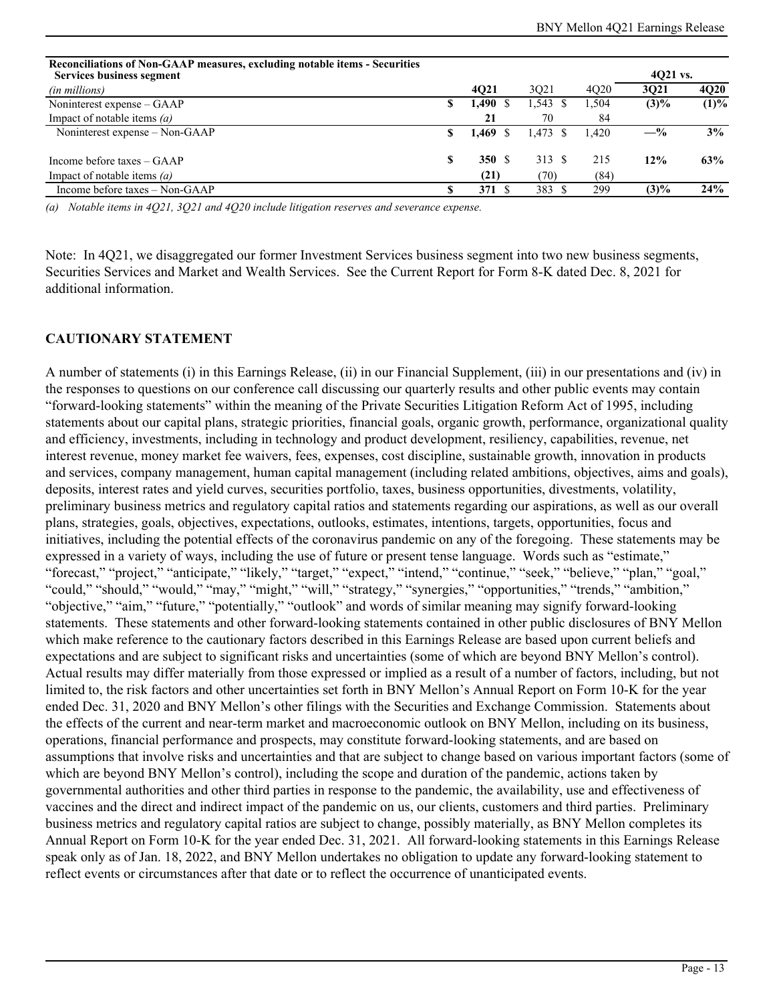| <b>Reconciliations of Non-GAAP measures, excluding notable items - Securities</b><br><b>Services business segment</b> |    |       |            |                               |         | 4021 vs.    |  |
|-----------------------------------------------------------------------------------------------------------------------|----|-------|------------|-------------------------------|---------|-------------|--|
| (in millions)                                                                                                         |    | 4021  | 3021       | 4 <sub>O</sub> 2 <sub>0</sub> | 3021    | <b>4Q20</b> |  |
| Noninterest expense – GAAP                                                                                            | S. | 1,490 | $1,543$ \$ | 1.504                         | $(3)\%$ | (1)%        |  |
| Impact of notable items $(a)$                                                                                         |    | 21    | 70         | 84                            |         |             |  |
| Noninterest expense – Non-GAAP                                                                                        | S  | 1,469 | $1.473$ \$ | 1.420                         | $-$ %   | 3%          |  |
| Income before taxes – GAAP                                                                                            | \$ | 350S  | 313 \$     | 215                           | 12%     | 63%         |  |
| Impact of notable items $(a)$                                                                                         |    | (21)  | (70)       | (84)                          |         |             |  |
| Income before taxes - Non-GAAP                                                                                        |    | 371S  | 383        | 299                           | $(3)\%$ | 24%         |  |

*(a) Notable items in 4Q21, 3Q21 and 4Q20 include litigation reserves and severance expense.*

Note: In 4Q21, we disaggregated our former Investment Services business segment into two new business segments, Securities Services and Market and Wealth Services. See the Current Report for Form 8-K dated Dec. 8, 2021 for additional information.

#### **CAUTIONARY STATEMENT**

A number of statements (i) in this Earnings Release, (ii) in our Financial Supplement, (iii) in our presentations and (iv) in the responses to questions on our conference call discussing our quarterly results and other public events may contain "forward-looking statements" within the meaning of the Private Securities Litigation Reform Act of 1995, including statements about our capital plans, strategic priorities, financial goals, organic growth, performance, organizational quality and efficiency, investments, including in technology and product development, resiliency, capabilities, revenue, net interest revenue, money market fee waivers, fees, expenses, cost discipline, sustainable growth, innovation in products and services, company management, human capital management (including related ambitions, objectives, aims and goals), deposits, interest rates and yield curves, securities portfolio, taxes, business opportunities, divestments, volatility, preliminary business metrics and regulatory capital ratios and statements regarding our aspirations, as well as our overall plans, strategies, goals, objectives, expectations, outlooks, estimates, intentions, targets, opportunities, focus and initiatives, including the potential effects of the coronavirus pandemic on any of the foregoing. These statements may be expressed in a variety of ways, including the use of future or present tense language. Words such as "estimate," "forecast," "project," "anticipate," "likely," "target," "expect," "intend," "continue," "seek," "believe," "plan," "goal," "could," "should," "would," "may," "might," "will," "strategy," "synergies," "opportunities," "trends," "ambition," "objective," "aim," "future," "potentially," "outlook" and words of similar meaning may signify forward-looking statements. These statements and other forward-looking statements contained in other public disclosures of BNY Mellon which make reference to the cautionary factors described in this Earnings Release are based upon current beliefs and expectations and are subject to significant risks and uncertainties (some of which are beyond BNY Mellon's control). Actual results may differ materially from those expressed or implied as a result of a number of factors, including, but not limited to, the risk factors and other uncertainties set forth in BNY Mellon's Annual Report on Form 10-K for the year ended Dec. 31, 2020 and BNY Mellon's other filings with the Securities and Exchange Commission. Statements about the effects of the current and near-term market and macroeconomic outlook on BNY Mellon, including on its business, operations, financial performance and prospects, may constitute forward-looking statements, and are based on assumptions that involve risks and uncertainties and that are subject to change based on various important factors (some of which are beyond BNY Mellon's control), including the scope and duration of the pandemic, actions taken by governmental authorities and other third parties in response to the pandemic, the availability, use and effectiveness of vaccines and the direct and indirect impact of the pandemic on us, our clients, customers and third parties. Preliminary business metrics and regulatory capital ratios are subject to change, possibly materially, as BNY Mellon completes its Annual Report on Form 10-K for the year ended Dec. 31, 2021. All forward-looking statements in this Earnings Release speak only as of Jan. 18, 2022, and BNY Mellon undertakes no obligation to update any forward-looking statement to reflect events or circumstances after that date or to reflect the occurrence of unanticipated events.